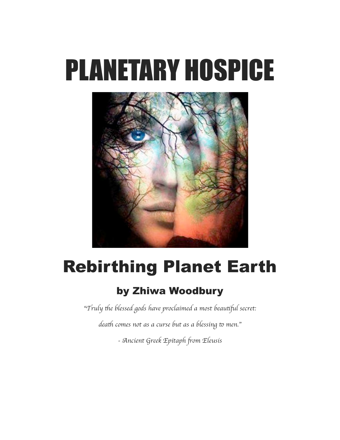# PLANETARY HOSPICE



## Rebirthing Planet Earth

### by Zhiwa Woodbury

"T*ruly* t*e blessed gods have proclaimed a most beau*tf*l secret:*

*death comes not as a curse but as a blessing to men."* 

*-* A*ncient Greek Epitaph* f*om Eleusi*s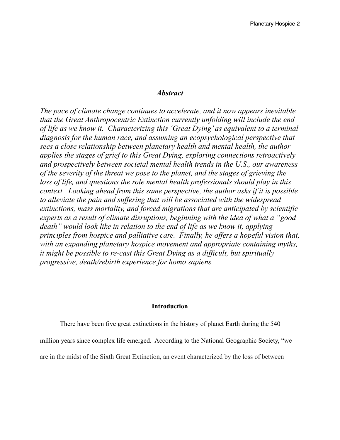#### *Abstract*

*The pace of climate change continues to accelerate, and it now appears inevitable that the Great Anthropocentric Extinction currently unfolding will include the end of life as we know it. Characterizing this 'Great Dying' as equivalent to a terminal diagnosis for the human race, and assuming an ecopsychological perspective that sees a close relationship between planetary health and mental health, the author applies the stages of grief to this Great Dying, exploring connections retroactively and prospectively between societal mental health trends in the U.S., our awareness of the severity of the threat we pose to the planet, and the stages of grieving the loss of life, and questions the role mental health professionals should play in this context. Looking ahead from this same perspective, the author asks if it is possible to alleviate the pain and suffering that will be associated with the widespread extinctions, mass mortality, and forced migrations that are anticipated by scientific experts as a result of climate disruptions, beginning with the idea of what a "good death" would look like in relation to the end of life as we know it, applying principles from hospice and palliative care. Finally, he offers a hopeful vision that, with an expanding planetary hospice movement and appropriate containing myths, it might be possible to re-cast this Great Dying as a difficult, but spiritually progressive, death/rebirth experience for homo sapiens.*

#### **Introduction**

There have been five great extinctions in the history of planet Earth during the 540

million years since complex life emerged. According to the National Geographic Society, "we

are in the midst of the Sixth Great Extinction, an event characterized by the loss of between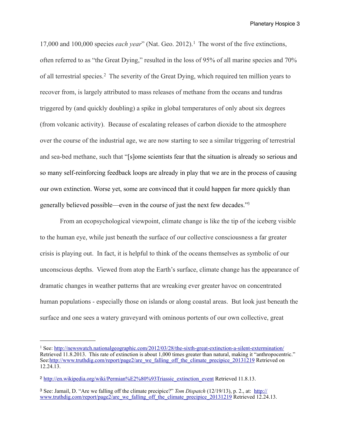17,000 and 100,000 species *each year*" (Nat. Geo. 2012).[1](#page-2-0) The worst of the five extinctions, often referred to as "the Great Dying," resulted in the loss of 95% of all marine species and 70% of all terrestrial species.[2](#page-2-1) The severity of the Great Dying, which required ten million years to recover from, is largely attributed to mass releases of methane from the oceans and tundras triggered by (and quickly doubling) a spike in global temperatures of only about six degrees (from volcanic activity). Because of escalating releases of carbon dioxide to the atmosphere over the course of the industrial age, we are now starting to see a similar triggering of terrestrial and sea-bed methane, such that "[s]ome scientists fear that the situation is already so serious and so many self-reinforcing feedback loops are already in play that we are in the process of causing our own extinction. Worse yet, some are convinced that it could happen far more quickly than generally believed possible—even in the course of just the next few decades.["3](#page-2-2)

 From an ecopsychological viewpoint, climate change is like the tip of the iceberg visible to the human eye, while just beneath the surface of our collective consciousness a far greater crisis is playing out. In fact, it is helpful to think of the oceans themselves as symbolic of our unconscious depths. Viewed from atop the Earth's surface, climate change has the appearance of dramatic changes in weather patterns that are wreaking ever greater havoc on concentrated human populations - especially those on islands or along coastal areas. But look just beneath the surface and one sees a watery graveyard with ominous portents of our own collective, great

<span id="page-2-0"></span><sup>&</sup>lt;sup>1</sup> See: <http://newswatch.nationalgeographic.com/2012/03/28/the-sixth-great-extinction-a-silent-extermination/> Retrieved 11.8.2013. This rate of extinction is about 1,000 times greater than natural, making it "anthropocentric." See[:http://www.truthdig.com/report/page2/are\\_we\\_falling\\_off\\_the\\_climate\\_precipice\\_20131219](http://www.truthdig.com/report/page2/are_we_falling_off_the_climate_precipice_20131219) Retrieved on 12.24.13.

<span id="page-2-1"></span><sup>2</sup> [http://en.wikipedia.org/wiki/Permian%E2%80%93Triassic\\_extinction\\_event](http://en.wikipedia.org/wiki/Permian%E2%80%93Triassic_extinction_event) Retrieved 11.8.13.

<span id="page-2-2"></span><sup>3</sup> See: Jamail, D. "Are we falling off the climate precipice?" *Tom Dispatch* (12/19/13), p. 2., at: [http://](http://www.truthdig.com/report/page2/are_we_falling_off_the_climate_precipice_20131219) www.truthdig.com/report/page2/are we falling off the climate precipice 20131219 Retrieved 12.24.13.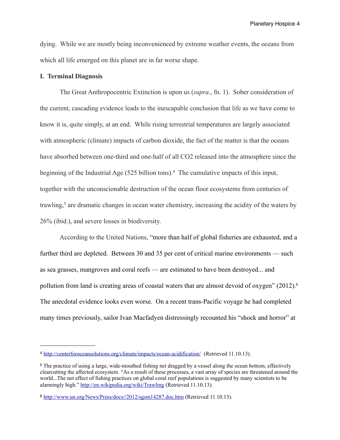dying. While we are mostly being inconvenienced by extreme weather events, the oceans from which all life emerged on this planet are in far worse shape.

#### **I. Terminal Diagnosis**

 The Great Anthropocentric Extinction is upon us (*supra*., fn. 1). Sober consideration of the current, cascading evidence leads to the inescapable conclusion that life as we have come to know it is, quite simply, at an end. While rising terrestrial temperatures are largely associated with atmospheric (climate) impacts of carbon dioxide, the fact of the matter is that the oceans have absorbed between one-third and one-half of all CO2 released into the atmosphere since the beginning of the Industrial Age (525 billion tons)[.4](#page-3-0) The cumulative impacts of this input, together with the unconscionable destruction of the ocean floor ecosystems from centuries of trawling,<sup>5</sup> are dramatic changes in ocean water chemistry, increasing the acidity of the waters by 26% (ibid.), and severe losses in biodiversity.

 According to the United Nations, "more than half of global fisheries are exhausted, and a further third are depleted. Between 30 and 35 per cent of critical marine environments — such as sea grasses, mangroves and coral reefs — are estimated to have been destroyed... and pollution from land is creating areas of coastal waters that are almost devoid of oxygen" (2012)[.6](#page-3-2) The anecdotal evidence looks even worse. On a recent trans-Pacific voyage he had completed many times previously, sailor Ivan Macfadyen distressingly recounted his "shock and horror" at

<span id="page-3-0"></span><sup>4</sup> <http://centerforoceansolutions.org/climate/impacts/ocean-acidification/> (Retrieved 11.10.13).

<span id="page-3-1"></span><sup>5</sup> The practice of using a large, wide-mouthed fishing net dragged by a vessel along the ocean bottom, effectively clearcutting the affected ecosystem. "As a result of these processes, a vast array of species are threatened around the world...The net effect of fishing practices on global coral reef populations is suggested by many scientists to be alarmingly high."<http://en.wikipedia.org/wiki/Trawling> (Retrieved 11.10.13).

<span id="page-3-2"></span><sup>6</sup> <http://www.un.org/News/Press/docs//2012/sgsm14287.doc.htm>(Retrieved 11.10.13).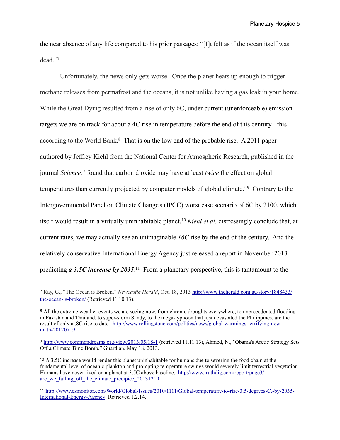the near absence of any life compared to his prior passages: "[I]t felt as if the ocean itself was dead."[7](#page-4-0) 

 Unfortunately, the news only gets worse. Once the planet heats up enough to trigger methane releases from permafrost and the oceans, it is not unlike having a gas leak in your home. While the Great Dying resulted from a rise of only 6C, under current (unenforceable) emission targets we are on track for about a 4C rise in temperature before the end of this century - this according to the World Bank. [8](#page-4-1) That is on the low end of the probable rise. A 2011 paper authored by Jeffrey Kiehl from the National Center for Atmospheric Research, published in the journal *Science,* "found that carbon dioxide may have at least *twice* the effect on global temperatures than currently projected by computer models of global climate."[9](#page-4-2) Contrary to the Intergovernmental Panel on Climate Change's (IPCC) worst case scenario of 6C by 2100, which itself would result in a virtually uninhabitable planet, <sup>[10](#page-4-3)</sup> *Kiehl et al.* distressingly conclude that, at current rates, we may actually see an unimaginable *16C* rise by the end of the century. And the relatively conservative International Energy Agency just released a report in November 2013 predicting *a* 3.5C *increase by 2035*.<sup>[11](#page-4-4)</sup> From a planetary perspective, this is tantamount to the

<span id="page-4-0"></span><sup>7</sup> Ray, G., "The Ocean is Broken," *Newcastle Herald*, Oct. 18, 2013 [http://www.theherald.com.au/story/1848433/](http://www.theherald.com.au/story/1848433/the-ocean-is-broken/) [the-ocean-is-broken/](http://www.theherald.com.au/story/1848433/the-ocean-is-broken/) (Retrieved 11.10.13).

<span id="page-4-1"></span><sup>&</sup>lt;sup>8</sup> All the extreme weather events we are seeing now, from chronic droughts everywhere, to unprecedented flooding in Pakistan and Thailand, to super-storm Sandy, to the mega-typhoon that just devastated the Philippines, are the result of only a .8C rise to date. [http://www.rollingstone.com/politics/news/global-warmings-terrifying-new](http://www.rollingstone.com/politics/news/global-warmings-terrifying-new-math-20120719)[math-20120719](http://www.rollingstone.com/politics/news/global-warmings-terrifying-new-math-20120719)

<span id="page-4-2"></span><sup>9</sup> <http://www.commondreams.org/view/2013/05/18-1> (retrieved 11.11.13), Ahmed, N., "Obama's Arctic Strategy Sets Off a Climate Time Bomb," Guardian, May 18, 2013.

<span id="page-4-3"></span><sup>10</sup> A 3.5C increase would render this planet uninhabitable for humans due to severing the food chain at the fundamental level of oceanic plankton and prompting temperature swings would severely limit terrestrial vegetation. Humans have never lived on a planet at 3.5C above baseline. [http://www.truthdig.com/report/page3/](http://www.truthdig.com/report/page3/are_we_falling_off_the_climate_precipice_20131219) are we falling off the climate precipice 20131219

<span id="page-4-4"></span><sup>11</sup> [http://www.csmonitor.com/World/Global-Issues/2010/1111/Global-temperature-to-rise-3.5-degrees-C.-by-2035-](http://www.csmonitor.com/World/Global-Issues/2010/1111/Global-temperature-to-rise-3.5-degrees-C.-by-2035-International-Energy-Agency) [International-Energy-Agency](http://www.csmonitor.com/World/Global-Issues/2010/1111/Global-temperature-to-rise-3.5-degrees-C.-by-2035-International-Energy-Agency) Retrieved 1.2.14.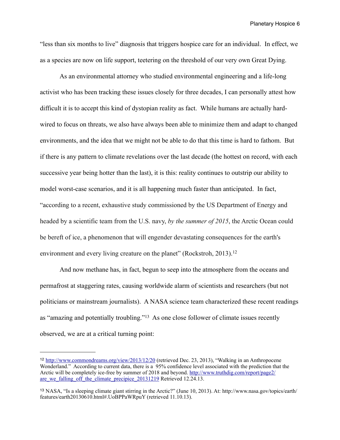"less than six months to live" diagnosis that triggers hospice care for an individual. In effect, we as a species are now on life support, teetering on the threshold of our very own Great Dying.

 As an environmental attorney who studied environmental engineering and a life-long activist who has been tracking these issues closely for three decades, I can personally attest how difficult it is to accept this kind of dystopian reality as fact. While humans are actually hardwired to focus on threats, we also have always been able to minimize them and adapt to changed environments, and the idea that we might not be able to do that this time is hard to fathom. But if there is any pattern to climate revelations over the last decade (the hottest on record, with each successive year being hotter than the last), it is this: reality continues to outstrip our ability to model worst-case scenarios, and it is all happening much faster than anticipated. In fact, "according to a recent, exhaustive study commissioned by the US Department of Energy and headed by a scientific team from the U.S. navy, *by the summer of 2015*, the Arctic Ocean could be bereft of ice, a phenomenon that will engender devastating consequences for the earth's environment and every living creature on the planet" (Rockstroh, 2013).<sup>12</sup>

 And now methane has, in fact, begun to seep into the atmosphere from the oceans and permafrost at staggering rates, causing worldwide alarm of scientists and researchers (but not politicians or mainstream journalists). A NASA science team characterized these recent readings as "amazing and potentially troubling."[13](#page-5-1) As one close follower of climate issues recently observed, we are at a critical turning point:

<span id="page-5-0"></span><sup>12</sup> <http://www.commondreams.org/view/2013/12/20>(retrieved Dec. 23, 2013), "Walking in an Anthropocene Wonderland." According to current data, there is a 95% confidence level associated with the prediction that the Arctic will be completely ice-free by summer of 2018 and beyond. [http://www.truthdig.com/report/page2/](http://www.truthdig.com/report/page2/are_we_falling_off_the_climate_precipice_20131219) are we falling off the climate precipice 20131219 Retrieved 12.24.13.

<span id="page-5-1"></span><sup>13</sup> NASA, "Is a sleeping climate giant stirring in the Arctic?" (June 10, 2013). At: http://www.nasa.gov/topics/earth/ features/earth20130610.html#.UoBPPaWRpuY (retrieved 11.10.13).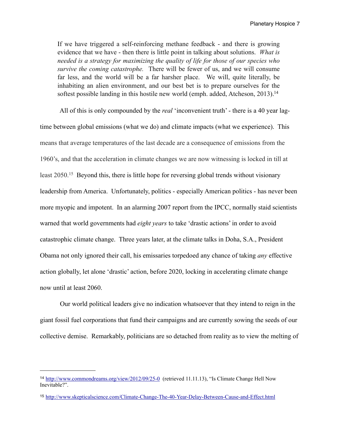If we have triggered a self-reinforcing methane feedback - and there is growing evidence that we have - then there is little point in talking about solutions. *What is needed is a strategy for maximizing the quality of life for those of our species who survive the coming catastrophe.* There will be fewer of us, and we will consume far less, and the world will be a far harsher place. We will, quite literally, be inhabiting an alien environment, and our best bet is to prepare ourselves for the softest possible landing in this hostile new world (emph. added, Atcheson, 2013).<sup>[14](#page-6-0)</sup>

 All of this is only compounded by the *real* 'inconvenient truth' - there is a 40 year lagtime between global emissions (what we do) and climate impacts (what we experience). This means that average temperatures of the last decade are a consequence of emissions from the 1960's, and that the acceleration in climate changes we are now witnessing is locked in till at least 2050.[15](#page-6-1) Beyond this, there is little hope for reversing global trends without visionary leadership from America. Unfortunately, politics - especially American politics - has never been more myopic and impotent. In an alarming 2007 report from the IPCC, normally staid scientists warned that world governments had *eight years* to take 'drastic actions' in order to avoid catastrophic climate change. Three years later, at the climate talks in Doha, S.A., President Obama not only ignored their call, his emissaries torpedoed any chance of taking *any* effective action globally, let alone 'drastic' action, before 2020, locking in accelerating climate change now until at least 2060.

 Our world political leaders give no indication whatsoever that they intend to reign in the giant fossil fuel corporations that fund their campaigns and are currently sowing the seeds of our collective demise. Remarkably, politicians are so detached from reality as to view the melting of

<span id="page-6-0"></span><sup>14</sup> <http://www.commondreams.org/view/2012/09/25-0> (retrieved 11.11.13), "Is Climate Change Hell Now Inevitable?".

<span id="page-6-1"></span><sup>15</sup> <http://www.skepticalscience.com/Climate-Change-The-40-Year-Delay-Between-Cause-and-Effect.html>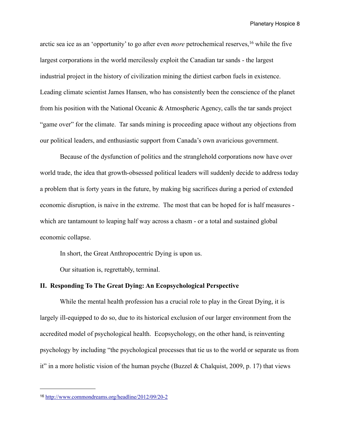arctic sea ice as an 'opportunity' to go after even *more* petrochemical reserves,[16](#page-7-0) while the five largest corporations in the world mercilessly exploit the Canadian tar sands - the largest industrial project in the history of civilization mining the dirtiest carbon fuels in existence. Leading climate scientist James Hansen, who has consistently been the conscience of the planet from his position with the National Oceanic & Atmospheric Agency, calls the tar sands project "game over" for the climate. Tar sands mining is proceeding apace without any objections from our political leaders, and enthusiastic support from Canada's own avaricious government.

 Because of the dysfunction of politics and the stranglehold corporations now have over world trade, the idea that growth-obsessed political leaders will suddenly decide to address today a problem that is forty years in the future, by making big sacrifices during a period of extended economic disruption, is naive in the extreme. The most that can be hoped for is half measures which are tantamount to leaping half way across a chasm - or a total and sustained global economic collapse.

In short, the Great Anthropocentric Dying is upon us.

Our situation is, regrettably, terminal.

#### **II. Responding To The Great Dying: An Ecopsychological Perspective**

 While the mental health profession has a crucial role to play in the Great Dying, it is largely ill-equipped to do so, due to its historical exclusion of our larger environment from the accredited model of psychological health. Ecopsychology, on the other hand, is reinventing psychology by including "the psychological processes that tie us to the world or separate us from it" in a more holistic vision of the human psyche (Buzzel & Chalquist, 2009, p. 17) that views

<span id="page-7-0"></span><sup>16</sup> <http://www.commondreams.org/headline/2012/09/20-2>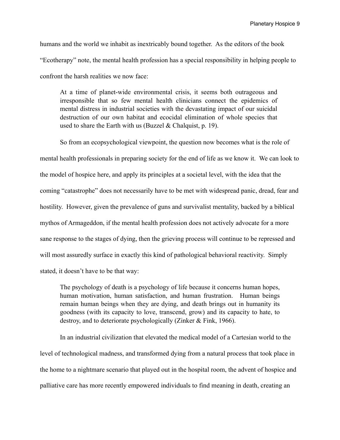humans and the world we inhabit as inextricably bound together. As the editors of the book "Ecotherapy" note, the mental health profession has a special responsibility in helping people to confront the harsh realities we now face:

At a time of planet-wide environmental crisis, it seems both outrageous and irresponsible that so few mental health clinicians connect the epidemics of mental distress in industrial societies with the devastating impact of our suicidal destruction of our own habitat and ecocidal elimination of whole species that used to share the Earth with us (Buzzel & Chalquist, p. 19).

So from an ecopsychological viewpoint, the question now becomes what is the role of mental health professionals in preparing society for the end of life as we know it. We can look to the model of hospice here, and apply its principles at a societal level, with the idea that the coming "catastrophe" does not necessarily have to be met with widespread panic, dread, fear and hostility. However, given the prevalence of guns and survivalist mentality, backed by a biblical mythos of Armageddon, if the mental health profession does not actively advocate for a more sane response to the stages of dying, then the grieving process will continue to be repressed and will most assuredly surface in exactly this kind of pathological behavioral reactivity. Simply stated, it doesn't have to be that way:

The psychology of death is a psychology of life because it concerns human hopes, human motivation, human satisfaction, and human frustration. Human beings remain human beings when they are dying, and death brings out in humanity its goodness (with its capacity to love, transcend, grow) and its capacity to hate, to destroy, and to deteriorate psychologically (Zinker & Fink, 1966).

 In an industrial civilization that elevated the medical model of a Cartesian world to the level of technological madness, and transformed dying from a natural process that took place in the home to a nightmare scenario that played out in the hospital room, the advent of hospice and palliative care has more recently empowered individuals to find meaning in death, creating an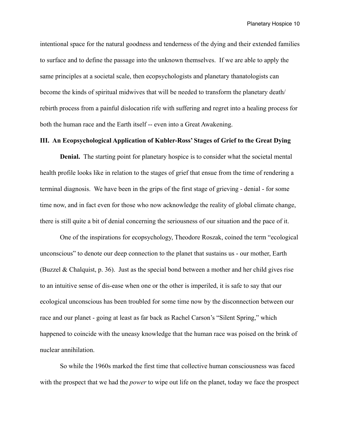intentional space for the natural goodness and tenderness of the dying and their extended families to surface and to define the passage into the unknown themselves. If we are able to apply the same principles at a societal scale, then ecopsychologists and planetary thanatologists can become the kinds of spiritual midwives that will be needed to transform the planetary death/ rebirth process from a painful dislocation rife with suffering and regret into a healing process for both the human race and the Earth itself -- even into a Great Awakening.

#### **III. An Ecopsychological Application of Kubler-Ross' Stages of Grief to the Great Dying**

**Denial.** The starting point for planetary hospice is to consider what the societal mental health profile looks like in relation to the stages of grief that ensue from the time of rendering a terminal diagnosis. We have been in the grips of the first stage of grieving - denial - for some time now, and in fact even for those who now acknowledge the reality of global climate change, there is still quite a bit of denial concerning the seriousness of our situation and the pace of it.

 One of the inspirations for ecopsychology, Theodore Roszak, coined the term "ecological unconscious" to denote our deep connection to the planet that sustains us - our mother, Earth (Buzzel & Chalquist, p. 36). Just as the special bond between a mother and her child gives rise to an intuitive sense of dis-ease when one or the other is imperiled, it is safe to say that our ecological unconscious has been troubled for some time now by the disconnection between our race and our planet - going at least as far back as Rachel Carson's "Silent Spring," which happened to coincide with the uneasy knowledge that the human race was poised on the brink of nuclear annihilation.

 So while the 1960s marked the first time that collective human consciousness was faced with the prospect that we had the *power* to wipe out life on the planet, today we face the prospect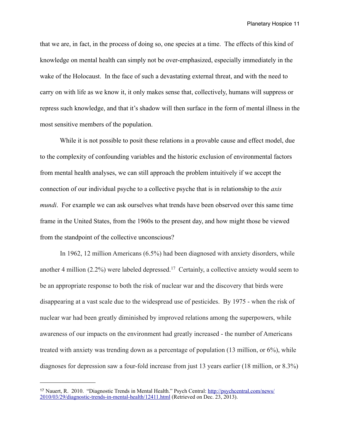that we are, in fact, in the process of doing so, one species at a time. The effects of this kind of knowledge on mental health can simply not be over-emphasized, especially immediately in the wake of the Holocaust. In the face of such a devastating external threat, and with the need to carry on with life as we know it, it only makes sense that, collectively, humans will suppress or repress such knowledge, and that it's shadow will then surface in the form of mental illness in the most sensitive members of the population.

 While it is not possible to posit these relations in a provable cause and effect model, due to the complexity of confounding variables and the historic exclusion of environmental factors from mental health analyses, we can still approach the problem intuitively if we accept the connection of our individual psyche to a collective psyche that is in relationship to the *axis mundi*. For example we can ask ourselves what trends have been observed over this same time frame in the United States, from the 1960s to the present day, and how might those be viewed from the standpoint of the collective unconscious?

In 1962, 12 million Americans (6.5%) had been diagnosed with anxiety disorders, while another 4 million  $(2.2\%)$  were labeled depressed.<sup>17</sup> Certainly, a collective anxiety would seem to be an appropriate response to both the risk of nuclear war and the discovery that birds were disappearing at a vast scale due to the widespread use of pesticides. By 1975 - when the risk of nuclear war had been greatly diminished by improved relations among the superpowers, while awareness of our impacts on the environment had greatly increased - the number of Americans treated with anxiety was trending down as a percentage of population (13 million, or 6%), while diagnoses for depression saw a four-fold increase from just 13 years earlier (18 million, or 8.3%)

<span id="page-10-0"></span><sup>17</sup> Nauert, R. 2010. "Diagnostic Trends in Mental Health." Psych Central: [http://psychcentral.com/news/](http://psychcentral.com/news/2010/03/29/diagnostic-trends-in-mental-health/12411.html) [2010/03/29/diagnostic-trends-in-mental-health/12411.html](http://psychcentral.com/news/2010/03/29/diagnostic-trends-in-mental-health/12411.html) (Retrieved on Dec. 23, 2013).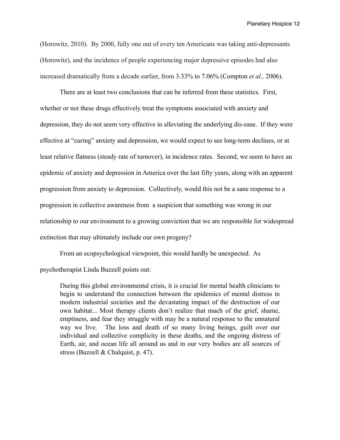(Horowitz, 2010). By 2000, fully one out of every ten Americans was taking anti-depressants (Horowitz), and the incidence of people experiencing major depressive episodes had also increased dramatically from a decade earlier, from 3.33% to 7.06% (Compton *et al.,* 2006).

 There are at least two conclusions that can be inferred from these statistics. First, whether or not these drugs effectively treat the symptoms associated with anxiety and depression, they do not seem very effective in alleviating the underlying dis-ease. If they were effective at "curing" anxiety and depression, we would expect to see long-term declines, or at least relative flatness (steady rate of turnover), in incidence rates. Second, we seem to have an epidemic of anxiety and depression in America over the last fifty years, along with an apparent progression from anxiety to depression. Collectively, would this not be a sane response to a progression in collective awareness from a suspicion that something was wrong in our relationship to our environment to a growing conviction that we are responsible for widespread extinction that may ultimately include our own progeny?

 From an ecopsychological viewpoint, this would hardly be unexpected. As psychotherapist Linda Buzzell points out:

During this global environmental crisis, it is crucial for mental health clinicians to begin to understand the connection between the epidemics of mental distress in modern industrial societies and the devastating impact of the destruction of our own habitat... Most therapy clients don't realize that much of the grief, shame, emptiness, and fear they struggle with may be a natural response to the unnatural way we live. The loss and death of so many living beings, guilt over our individual and collective complicity in these deaths, and the ongoing distress of Earth, air, and ocean life all around us and in our very bodies are all sources of stress (Buzzell & Chalquist, p. 47).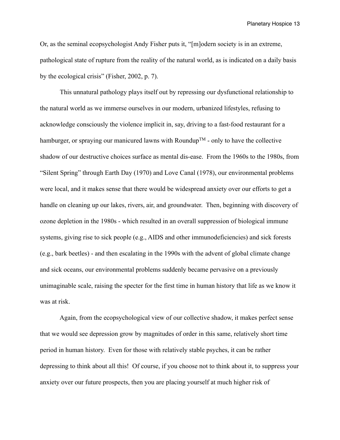Or, as the seminal ecopsychologist Andy Fisher puts it, "[m]odern society is in an extreme, pathological state of rupture from the reality of the natural world, as is indicated on a daily basis by the ecological crisis" (Fisher, 2002, p. 7).

 This unnatural pathology plays itself out by repressing our dysfunctional relationship to the natural world as we immerse ourselves in our modern, urbanized lifestyles, refusing to acknowledge consciously the violence implicit in, say, driving to a fast-food restaurant for a hamburger, or spraying our manicured lawns with Roundup<sup>TM</sup> - only to have the collective shadow of our destructive choices surface as mental dis-ease. From the 1960s to the 1980s, from "Silent Spring" through Earth Day (1970) and Love Canal (1978), our environmental problems were local, and it makes sense that there would be widespread anxiety over our efforts to get a handle on cleaning up our lakes, rivers, air, and groundwater. Then, beginning with discovery of ozone depletion in the 1980s - which resulted in an overall suppression of biological immune systems, giving rise to sick people (e.g., AIDS and other immunodeficiencies) and sick forests (e.g., bark beetles) - and then escalating in the 1990s with the advent of global climate change and sick oceans, our environmental problems suddenly became pervasive on a previously unimaginable scale, raising the specter for the first time in human history that life as we know it was at risk.

 Again, from the ecopsychological view of our collective shadow, it makes perfect sense that we would see depression grow by magnitudes of order in this same, relatively short time period in human history. Even for those with relatively stable psyches, it can be rather depressing to think about all this! Of course, if you choose not to think about it, to suppress your anxiety over our future prospects, then you are placing yourself at much higher risk of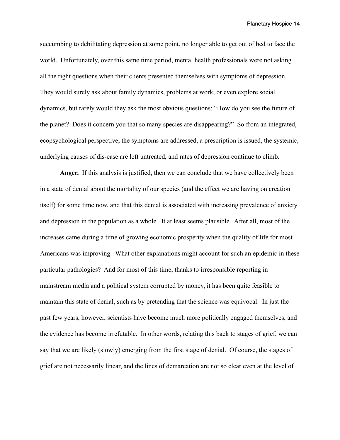succumbing to debilitating depression at some point, no longer able to get out of bed to face the world. Unfortunately, over this same time period, mental health professionals were not asking all the right questions when their clients presented themselves with symptoms of depression. They would surely ask about family dynamics, problems at work, or even explore social dynamics, but rarely would they ask the most obvious questions: "How do you see the future of the planet? Does it concern you that so many species are disappearing?" So from an integrated, ecopsychological perspective, the symptoms are addressed, a prescription is issued, the systemic, underlying causes of dis-ease are left untreated, and rates of depression continue to climb.

**Anger.** If this analysis is justified, then we can conclude that we have collectively been in a state of denial about the mortality of our species (and the effect we are having on creation itself) for some time now, and that this denial is associated with increasing prevalence of anxiety and depression in the population as a whole. It at least seems plausible. After all, most of the increases came during a time of growing economic prosperity when the quality of life for most Americans was improving. What other explanations might account for such an epidemic in these particular pathologies? And for most of this time, thanks to irresponsible reporting in mainstream media and a political system corrupted by money, it has been quite feasible to maintain this state of denial, such as by pretending that the science was equivocal. In just the past few years, however, scientists have become much more politically engaged themselves, and the evidence has become irrefutable. In other words, relating this back to stages of grief, we can say that we are likely (slowly) emerging from the first stage of denial. Of course, the stages of grief are not necessarily linear, and the lines of demarcation are not so clear even at the level of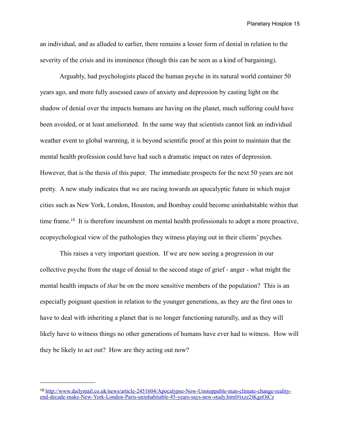an individual, and as alluded to earlier, there remains a lesser form of denial in relation to the severity of the crisis and its imminence (though this can be seen as a kind of bargaining).

 Arguably, had psychologists placed the human psyche in its natural world container 50 years ago, and more fully assessed cases of anxiety and depression by casting light on the shadow of denial over the impacts humans are having on the planet, much suffering could have been avoided, or at least ameliorated. In the same way that scientists cannot link an individual weather event to global warming, it is beyond scientific proof at this point to maintain that the mental health profession could have had such a dramatic impact on rates of depression. However, that is the thesis of this paper. The immediate prospects for the next 50 years are not pretty. A new study indicates that we are racing towards an apocalyptic future in which major cities such as New York, London, Houston, and Bombay could become uninhabitable within that time frame[.18](#page-14-0) It is therefore incumbent on mental health professionals to adopt a more proactive, ecopsychological view of the pathologies they witness playing out in their clients' psyches.

 This raises a very important question. If we are now seeing a progression in our collective psyche from the stage of denial to the second stage of grief - anger - what might the mental health impacts of *that* be on the more sensitive members of the population? This is an especially poignant question in relation to the younger generations, as they are the first ones to have to deal with inheriting a planet that is no longer functioning naturally, and as they will likely have to witness things no other generations of humans have ever had to witness. How will they be likely to act out? How are they acting out now?

<span id="page-14-0"></span><sup>18</sup> [http://www.dailymail.co.uk/news/article-2451604/Apocalypse-Now-Unstoppable-man-climate-change-reality](http://www.dailymail.co.uk/news/article-2451604/Apocalypse-Now-Unstoppable-man-climate-change-reality-end-decade-make-New-York-London-Paris-uninhabitable-45-years-says-new-study.html#ixzz2tKgeOiCz)[end-decade-make-New-York-London-Paris-uninhabitable-45-years-says-new-study.html#ixzz2tKgeOiCz](http://www.dailymail.co.uk/news/article-2451604/Apocalypse-Now-Unstoppable-man-climate-change-reality-end-decade-make-New-York-London-Paris-uninhabitable-45-years-says-new-study.html#ixzz2tKgeOiCz)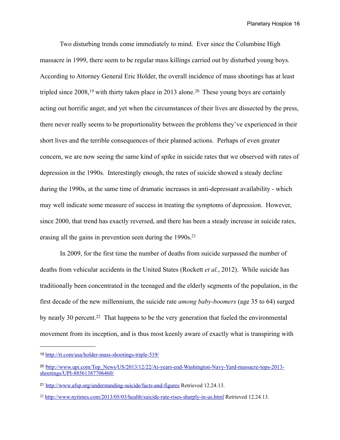Two disturbing trends come immediately to mind. Ever since the Columbine High massacre in 1999, there seem to be regular mass killings carried out by disturbed young boys. According to Attorney General Eric Holder, the overall incidence of mass shootings has at least tripled since  $2008$ ,<sup>19</sup> with thirty taken place in 2013 alone.<sup>20</sup> These young boys are certainly acting out horrific anger, and yet when the circumstances of their lives are dissected by the press, there never really seems to be proportionality between the problems they've experienced in their short lives and the terrible consequences of their planned actions. Perhaps of even greater concern, we are now seeing the same kind of spike in suicide rates that we observed with rates of depression in the 1990s. Interestingly enough, the rates of suicide showed a steady decline during the 1990s, at the same time of dramatic increases in anti-depressant availability - which may well indicate some measure of success in treating the symptoms of depression. However, since 2000, that trend has exactly reversed, and there has been a steady increase in suicide rates, erasing all the gains in prevention seen during the 1990s.<sup>21</sup>

In 2009, for the first time the number of deaths from suicide surpassed the number of deaths from vehicular accidents in the United States (Rockett *et al.*, 2012). While suicide has traditionally been concentrated in the teenaged and the elderly segments of the population, in the first decade of the new millennium, the suicide rate *among baby-boomers* (age 35 to 64) surged by nearly 30 percent.<sup>22</sup> That happens to be the very generation that fueled the environmental movement from its inception, and is thus most keenly aware of exactly what is transpiring with

<span id="page-15-0"></span><sup>19</sup> <http://rt.com/usa/holder-mass-shootings-triple-519/>

<span id="page-15-1"></span><sup>20</sup> h[ttp://www.upi.com/Top\\_News/US/2013/12/22/At-years-end-Washington-Navy-Yard-massacre-tops-2013](http://www.upi.com/Top_News/US/2013/12/22/At-years-end-Washington-Navy-Yard-massacre-tops-2013-shootings/UPI-88561387706460/) [shootings/UPI-88561387706460/](http://www.upi.com/Top_News/US/2013/12/22/At-years-end-Washington-Navy-Yard-massacre-tops-2013-shootings/UPI-88561387706460/)

<span id="page-15-2"></span><sup>21</sup> <http://www.afsp.org/understanding-suicide/facts-and-figures>Retrieved 12.24.13.

<span id="page-15-3"></span><sup>22</sup> <http://www.nytimes.com/2013/05/03/health/suicide-rate-rises-sharply-in-us.html>Retrieved 12.24.13.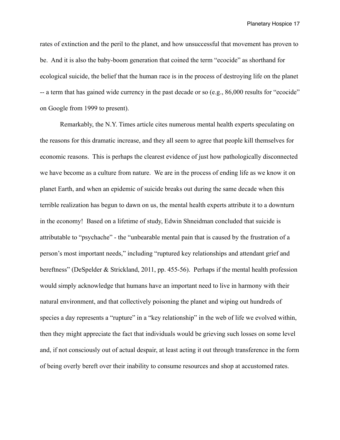rates of extinction and the peril to the planet, and how unsuccessful that movement has proven to be. And it is also the baby-boom generation that coined the term "ecocide" as shorthand for ecological suicide, the belief that the human race is in the process of destroying life on the planet -- a term that has gained wide currency in the past decade or so (e.g., 86,000 results for "ecocide" on Google from 1999 to present).

 Remarkably, the N.Y. Times article cites numerous mental health experts speculating on the reasons for this dramatic increase, and they all seem to agree that people kill themselves for economic reasons. This is perhaps the clearest evidence of just how pathologically disconnected we have become as a culture from nature. We are in the process of ending life as we know it on planet Earth, and when an epidemic of suicide breaks out during the same decade when this terrible realization has begun to dawn on us, the mental health experts attribute it to a downturn in the economy! Based on a lifetime of study, Edwin Shneidman concluded that suicide is attributable to "psychache" - the "unbearable mental pain that is caused by the frustration of a person's most important needs," including "ruptured key relationships and attendant grief and bereftness" (DeSpelder & Strickland, 2011, pp. 455-56). Perhaps if the mental health profession would simply acknowledge that humans have an important need to live in harmony with their natural environment, and that collectively poisoning the planet and wiping out hundreds of species a day represents a "rupture" in a "key relationship" in the web of life we evolved within, then they might appreciate the fact that individuals would be grieving such losses on some level and, if not consciously out of actual despair, at least acting it out through transference in the form of being overly bereft over their inability to consume resources and shop at accustomed rates.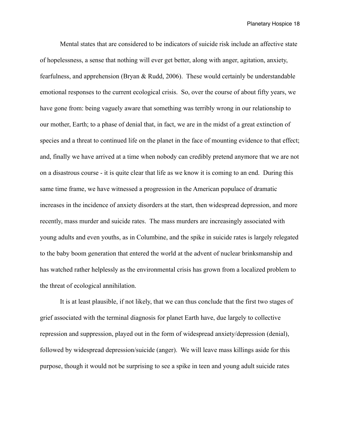Mental states that are considered to be indicators of suicide risk include an affective state of hopelessness, a sense that nothing will ever get better, along with anger, agitation, anxiety, fearfulness, and apprehension (Bryan & Rudd, 2006). These would certainly be understandable emotional responses to the current ecological crisis. So, over the course of about fifty years, we have gone from: being vaguely aware that something was terribly wrong in our relationship to our mother, Earth; to a phase of denial that, in fact, we are in the midst of a great extinction of species and a threat to continued life on the planet in the face of mounting evidence to that effect; and, finally we have arrived at a time when nobody can credibly pretend anymore that we are not on a disastrous course - it is quite clear that life as we know it is coming to an end. During this same time frame, we have witnessed a progression in the American populace of dramatic increases in the incidence of anxiety disorders at the start, then widespread depression, and more recently, mass murder and suicide rates. The mass murders are increasingly associated with young adults and even youths, as in Columbine, and the spike in suicide rates is largely relegated to the baby boom generation that entered the world at the advent of nuclear brinksmanship and has watched rather helplessly as the environmental crisis has grown from a localized problem to the threat of ecological annihilation.

 It is at least plausible, if not likely, that we can thus conclude that the first two stages of grief associated with the terminal diagnosis for planet Earth have, due largely to collective repression and suppression, played out in the form of widespread anxiety/depression (denial), followed by widespread depression/suicide (anger). We will leave mass killings aside for this purpose, though it would not be surprising to see a spike in teen and young adult suicide rates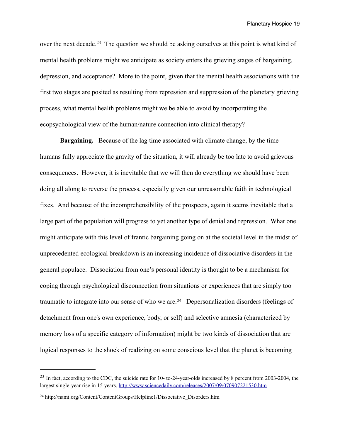over the next decade.<sup>23</sup> The question we should be asking ourselves at this point is what kind of mental health problems might we anticipate as society enters the grieving stages of bargaining, depression, and acceptance? More to the point, given that the mental health associations with the first two stages are posited as resulting from repression and suppression of the planetary grieving process, what mental health problems might we be able to avoid by incorporating the ecopsychological view of the human/nature connection into clinical therapy?

**Bargaining.** Because of the lag time associated with climate change, by the time humans fully appreciate the gravity of the situation, it will already be too late to avoid grievous consequences. However, it is inevitable that we will then do everything we should have been doing all along to reverse the process, especially given our unreasonable faith in technological fixes. And because of the incomprehensibility of the prospects, again it seems inevitable that a large part of the population will progress to yet another type of denial and repression. What one might anticipate with this level of frantic bargaining going on at the societal level in the midst of unprecedented ecological breakdown is an increasing incidence of dissociative disorders in the general populace. Dissociation from one's personal identity is thought to be a mechanism for coping through psychological disconnection from situations or experiences that are simply too traumatic to integrate into our sense of who we are.<sup>24</sup> Depersonalization disorders (feelings of detachment from one's own experience, body, or self) and selective amnesia (characterized by memory loss of a specific category of information) might be two kinds of dissociation that are logical responses to the shock of realizing on some conscious level that the planet is becoming

<span id="page-18-0"></span><sup>&</sup>lt;sup>23</sup> In fact, according to the CDC, the suicide rate for 10- to-24-year-olds increased by 8 percent from 2003-2004, the largest single-year rise in 15 years. <http://www.sciencedaily.com/releases/2007/09/070907221530.htm>

<span id="page-18-1"></span><sup>24</sup> http://nami.org/Content/ContentGroups/Helpline1/Dissociative\_Disorders.htm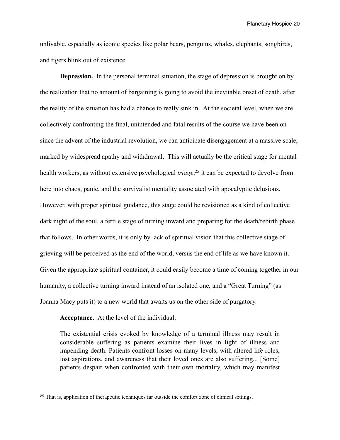unlivable, especially as iconic species like polar bears, penguins, whales, elephants, songbirds, and tigers blink out of existence.

**Depression.** In the personal terminal situation, the stage of depression is brought on by the realization that no amount of bargaining is going to avoid the inevitable onset of death, after the reality of the situation has had a chance to really sink in. At the societal level, when we are collectively confronting the final, unintended and fatal results of the course we have been on since the advent of the industrial revolution, we can anticipate disengagement at a massive scale, marked by widespread apathy and withdrawal. This will actually be the critical stage for mental health workers, as without extensive psychological *triage*, [25](#page-19-0) it can be expected to devolve from here into chaos, panic, and the survivalist mentality associated with apocalyptic delusions. However, with proper spiritual guidance, this stage could be revisioned as a kind of collective dark night of the soul, a fertile stage of turning inward and preparing for the death/rebirth phase that follows. In other words, it is only by lack of spiritual vision that this collective stage of grieving will be perceived as the end of the world, versus the end of life as we have known it. Given the appropriate spiritual container, it could easily become a time of coming together in our humanity, a collective turning inward instead of an isolated one, and a "Great Turning" (as Joanna Macy puts it) to a new world that awaits us on the other side of purgatory.

**Acceptance.** At the level of the individual:

The existential crisis evoked by knowledge of a terminal illness may result in considerable suffering as patients examine their lives in light of illness and impending death. Patients confront losses on many levels, with altered life roles, lost aspirations, and awareness that their loved ones are also suffering... [Some] patients despair when confronted with their own mortality, which may manifest

<span id="page-19-0"></span><sup>25</sup> That is, application of therapeutic techniques far outside the comfort zone of clinical settings.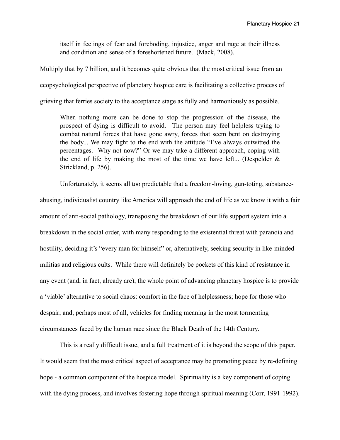itself in feelings of fear and foreboding, injustice, anger and rage at their illness and condition and sense of a foreshortened future. (Mack, 2008).

Multiply that by 7 billion, and it becomes quite obvious that the most critical issue from an ecopsychological perspective of planetary hospice care is facilitating a collective process of grieving that ferries society to the acceptance stage as fully and harmoniously as possible.

When nothing more can be done to stop the progression of the disease, the prospect of dying is difficult to avoid. The person may feel helpless trying to combat natural forces that have gone awry, forces that seem bent on destroying the body... We may fight to the end with the attitude "I've always outwitted the percentages. Why not now?" Or we may take a different approach, coping with the end of life by making the most of the time we have left... (Despelder  $\&$ Strickland, p. 256).

 Unfortunately, it seems all too predictable that a freedom-loving, gun-toting, substanceabusing, individualist country like America will approach the end of life as we know it with a fair amount of anti-social pathology, transposing the breakdown of our life support system into a breakdown in the social order, with many responding to the existential threat with paranoia and hostility, deciding it's "every man for himself" or, alternatively, seeking security in like-minded militias and religious cults. While there will definitely be pockets of this kind of resistance in any event (and, in fact, already are), the whole point of advancing planetary hospice is to provide a 'viable' alternative to social chaos: comfort in the face of helplessness; hope for those who despair; and, perhaps most of all, vehicles for finding meaning in the most tormenting circumstances faced by the human race since the Black Death of the 14th Century.

 This is a really difficult issue, and a full treatment of it is beyond the scope of this paper. It would seem that the most critical aspect of acceptance may be promoting peace by re-defining hope - a common component of the hospice model. Spirituality is a key component of coping with the dying process, and involves fostering hope through spiritual meaning (Corr, 1991-1992).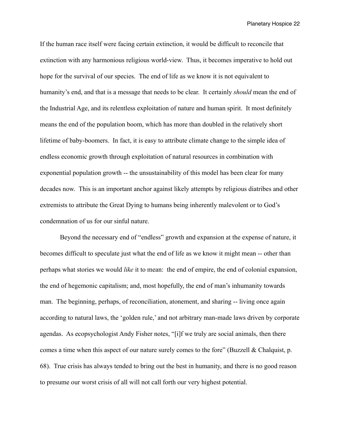If the human race itself were facing certain extinction, it would be difficult to reconcile that extinction with any harmonious religious world-view. Thus, it becomes imperative to hold out hope for the survival of our species. The end of life as we know it is not equivalent to humanity's end, and that is a message that needs to be clear. It certainly *should* mean the end of the Industrial Age, and its relentless exploitation of nature and human spirit. It most definitely means the end of the population boom, which has more than doubled in the relatively short lifetime of baby-boomers. In fact, it is easy to attribute climate change to the simple idea of endless economic growth through exploitation of natural resources in combination with exponential population growth -- the unsustainability of this model has been clear for many decades now. This is an important anchor against likely attempts by religious diatribes and other extremists to attribute the Great Dying to humans being inherently malevolent or to God's condemnation of us for our sinful nature.

 Beyond the necessary end of "endless" growth and expansion at the expense of nature, it becomes difficult to speculate just what the end of life as we know it might mean -- other than perhaps what stories we would *like* it to mean: the end of empire, the end of colonial expansion, the end of hegemonic capitalism; and, most hopefully, the end of man's inhumanity towards man. The beginning, perhaps, of reconciliation, atonement, and sharing -- living once again according to natural laws, the 'golden rule,' and not arbitrary man-made laws driven by corporate agendas. As ecopsychologist Andy Fisher notes, "[i]f we truly are social animals, then there comes a time when this aspect of our nature surely comes to the fore" (Buzzell & Chalquist, p. 68). True crisis has always tended to bring out the best in humanity, and there is no good reason to presume our worst crisis of all will not call forth our very highest potential.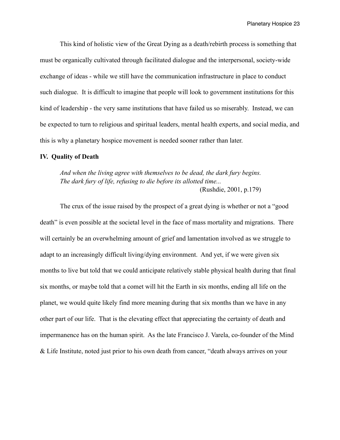This kind of holistic view of the Great Dying as a death/rebirth process is something that must be organically cultivated through facilitated dialogue and the interpersonal, society-wide exchange of ideas - while we still have the communication infrastructure in place to conduct such dialogue. It is difficult to imagine that people will look to government institutions for this kind of leadership - the very same institutions that have failed us so miserably. Instead, we can be expected to turn to religious and spiritual leaders, mental health experts, and social media, and this is why a planetary hospice movement is needed sooner rather than later.

#### **IV. Quality of Death**

*And when the living agree with themselves to be dead, the dark fury begins. The dark fury of life, refusing to die before its allotted time...* (Rushdie, 2001, p.179)

The crux of the issue raised by the prospect of a great dying is whether or not a "good death" is even possible at the societal level in the face of mass mortality and migrations. There will certainly be an overwhelming amount of grief and lamentation involved as we struggle to adapt to an increasingly difficult living/dying environment. And yet, if we were given six months to live but told that we could anticipate relatively stable physical health during that final six months, or maybe told that a comet will hit the Earth in six months, ending all life on the planet, we would quite likely find more meaning during that six months than we have in any other part of our life. That is the elevating effect that appreciating the certainty of death and impermanence has on the human spirit. As the late Francisco J. Varela, co-founder of the Mind & Life Institute, noted just prior to his own death from cancer, "death always arrives on your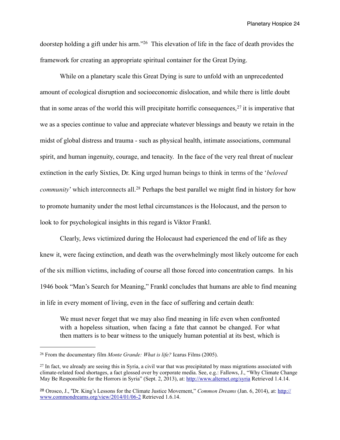doorstep holding a gift under his arm.["26](#page-23-0) This elevation of life in the face of death provides the framework for creating an appropriate spiritual container for the Great Dying.

 While on a planetary scale this Great Dying is sure to unfold with an unprecedented amount of ecological disruption and socioeconomic dislocation, and while there is little doubt that in some areas of the world this will precipitate horrific consequences,  $27$  it is imperative that we as a species continue to value and appreciate whatever blessings and beauty we retain in the midst of global distress and trauma - such as physical health, intimate associations, communal spirit, and human ingenuity, courage, and tenacity. In the face of the very real threat of nuclear extinction in the early Sixties, Dr. King urged human beings to think in terms of the '*beloved community*' which interconnects all.<sup>28</sup> Perhaps the best parallel we might find in history for how to promote humanity under the most lethal circumstances is the Holocaust, and the person to look to for psychological insights in this regard is Viktor Frankl.

 Clearly, Jews victimized during the Holocaust had experienced the end of life as they knew it, were facing extinction, and death was the overwhelmingly most likely outcome for each of the six million victims, including of course all those forced into concentration camps. In his 1946 book "Man's Search for Meaning," Frankl concludes that humans are able to find meaning in life in every moment of living, even in the face of suffering and certain death:

We must never forget that we may also find meaning in life even when confronted with a hopeless situation, when facing a fate that cannot be changed. For what then matters is to bear witness to the uniquely human potential at its best, which is

<span id="page-23-0"></span><sup>26</sup> From the documentary film *Monte Grande: What is life?* Icarus Films (2005).

<span id="page-23-1"></span> $27$  In fact, we already are seeing this in Syria, a civil war that was precipitated by mass migrations associated with climate-related food shortages, a fact glossed over by corporate media. See, e.g.: Fallows, J., "Why Climate Change May Be Responsible for the Horrors in Syria" (Sept. 2, 2013), at: <http://www.alternet.org/syria>Retrieved 1.4.14.

<span id="page-23-2"></span><sup>28</sup> Orosco, J., "Dr. King's Lessons for the Climate Justice Movement," *Common Dreams* (Jan. 6, 2014), at: [http://](http://www.commondreams.org/view/2014/01/06-2) [www.commondreams.org/view/2014/01/06-2](http://www.commondreams.org/view/2014/01/06-2) Retrieved 1.6.14.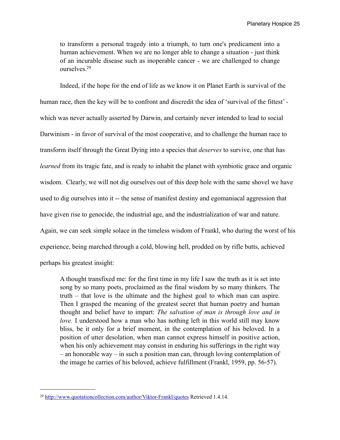to transform a personal tragedy into a triumph, to turn one's predicament into a human achievement. When we are no longer able to change a situation - just think of an incurable disease such as inoperable cancer - we are challenged to change ourselves[.29](#page-24-0)

 Indeed, if the hope for the end of life as we know it on Planet Earth is survival of the human race, then the key will be to confront and discredit the idea of 'survival of the fittest' which was never actually asserted by Darwin, and certainly never intended to lead to social Darwinism - in favor of survival of the most cooperative, and to challenge the human race to transform itself through the Great Dying into a species that *deserves* to survive, one that has *learned* from its tragic fate, and is ready to inhabit the planet with symbiotic grace and organic wisdom. Clearly, we will not dig ourselves out of this deep hole with the same shovel we have used to dig ourselves into it -- the sense of manifest destiny and egomaniacal aggression that have given rise to genocide, the industrial age, and the industrialization of war and nature. Again, we can seek simple solace in the timeless wisdom of Frankl, who during the worst of his experience, being marched through a cold, blowing hell, prodded on by rifle butts, achieved perhaps his greatest insight:

A thought transfixed me: for the first time in my life I saw the truth as it is set into song by so many poets, proclaimed as the final wisdom by so many thinkers. The truth – that love is the ultimate and the highest goal to which man can aspire. Then I grasped the meaning of the greatest secret that human poetry and human thought and belief have to impart: *The salvation of man is through love and in love.* I understood how a man who has nothing left in this world still may know bliss, be it only for a brief moment, in the contemplation of his beloved. In a position of utter desolation, when man cannot express himself in positive action, when his only achievement may consist in enduring his sufferings in the right way – an honorable way – in such a position man can, through loving contemplation of the image he carries of his beloved, achieve fulfillment (Frankl, 1959, pp. 56-57).

<span id="page-24-0"></span><sup>29</sup> <http://www.quotationcollection.com/author/Viktor-Frankl/quotes> Retrieved 1.4.14.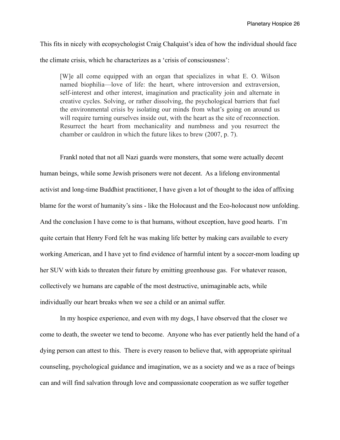This fits in nicely with ecopsychologist Craig Chalquist's idea of how the individual should face the climate crisis, which he characterizes as a 'crisis of consciousness':

[W]e all come equipped with an organ that specializes in what E. O. Wilson named biophilia—love of life: the heart, where introversion and extraversion, self-interest and other interest, imagination and practicality join and alternate in creative cycles. Solving, or rather dissolving, the psychological barriers that fuel the environmental crisis by isolating our minds from what's going on around us will require turning ourselves inside out, with the heart as the site of reconnection. Resurrect the heart from mechanicality and numbness and you resurrect the chamber or cauldron in which the future likes to brew (2007, p. 7).

 Frankl noted that not all Nazi guards were monsters, that some were actually decent human beings, while some Jewish prisoners were not decent. As a lifelong environmental activist and long-time Buddhist practitioner, I have given a lot of thought to the idea of affixing blame for the worst of humanity's sins - like the Holocaust and the Eco-holocaust now unfolding. And the conclusion I have come to is that humans, without exception, have good hearts. I'm quite certain that Henry Ford felt he was making life better by making cars available to every working American, and I have yet to find evidence of harmful intent by a soccer-mom loading up her SUV with kids to threaten their future by emitting greenhouse gas. For whatever reason, collectively we humans are capable of the most destructive, unimaginable acts, while individually our heart breaks when we see a child or an animal suffer.

 In my hospice experience, and even with my dogs, I have observed that the closer we come to death, the sweeter we tend to become. Anyone who has ever patiently held the hand of a dying person can attest to this. There is every reason to believe that, with appropriate spiritual counseling, psychological guidance and imagination, we as a society and we as a race of beings can and will find salvation through love and compassionate cooperation as we suffer together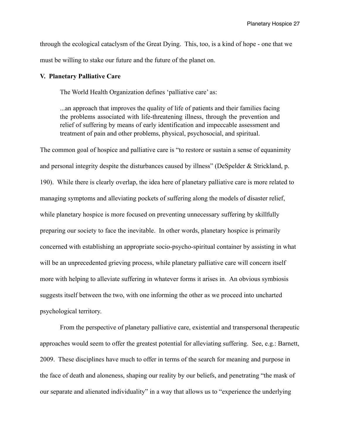through the ecological cataclysm of the Great Dying. This, too, is a kind of hope - one that we must be willing to stake our future and the future of the planet on.

#### **V. Planetary Palliative Care**

The World Health Organization defines 'palliative care' as:

...an approach that improves the quality of life of patients and their families facing the problems associated with life-threatening illness, through the prevention and relief of suffering by means of early identification and impeccable assessment and treatment of pain and other problems, physical, psychosocial, and spiritual.

The common goal of hospice and palliative care is "to restore or sustain a sense of equanimity and personal integrity despite the disturbances caused by illness" (DeSpelder & Strickland, p. 190). While there is clearly overlap, the idea here of planetary palliative care is more related to managing symptoms and alleviating pockets of suffering along the models of disaster relief, while planetary hospice is more focused on preventing unnecessary suffering by skillfully preparing our society to face the inevitable. In other words, planetary hospice is primarily concerned with establishing an appropriate socio-psycho-spiritual container by assisting in what will be an unprecedented grieving process, while planetary palliative care will concern itself more with helping to alleviate suffering in whatever forms it arises in. An obvious symbiosis suggests itself between the two, with one informing the other as we proceed into uncharted psychological territory.

 From the perspective of planetary palliative care, existential and transpersonal therapeutic approaches would seem to offer the greatest potential for alleviating suffering. See, e.g.: Barnett, 2009. These disciplines have much to offer in terms of the search for meaning and purpose in the face of death and aloneness, shaping our reality by our beliefs, and penetrating "the mask of our separate and alienated individuality" in a way that allows us to "experience the underlying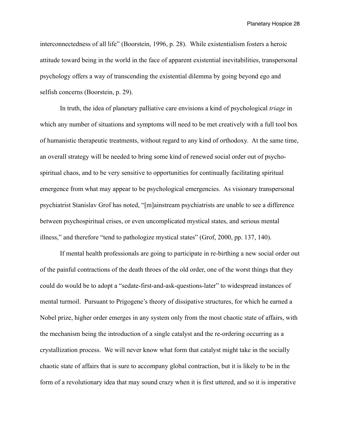interconnectedness of all life" (Boorstein, 1996, p. 28). While existentialism fosters a heroic attitude toward being in the world in the face of apparent existential inevitabilities, transpersonal psychology offers a way of transcending the existential dilemma by going beyond ego and selfish concerns (Boorstein, p. 29).

 In truth, the idea of planetary palliative care envisions a kind of psychological *triage* in which any number of situations and symptoms will need to be met creatively with a full tool box of humanistic therapeutic treatments, without regard to any kind of orthodoxy. At the same time, an overall strategy will be needed to bring some kind of renewed social order out of psychospiritual chaos, and to be very sensitive to opportunities for continually facilitating spiritual emergence from what may appear to be psychological emergencies. As visionary transpersonal psychiatrist Stanislav Grof has noted, "[m]ainstream psychiatrists are unable to see a difference between psychospiritual crises, or even uncomplicated mystical states, and serious mental illness," and therefore "tend to pathologize mystical states" (Grof, 2000, pp. 137, 140).

 If mental health professionals are going to participate in re-birthing a new social order out of the painful contractions of the death throes of the old order, one of the worst things that they could do would be to adopt a "sedate-first-and-ask-questions-later" to widespread instances of mental turmoil. Pursuant to Prigogene's theory of dissipative structures, for which he earned a Nobel prize, higher order emerges in any system only from the most chaotic state of affairs, with the mechanism being the introduction of a single catalyst and the re-ordering occurring as a crystallization process. We will never know what form that catalyst might take in the socially chaotic state of affairs that is sure to accompany global contraction, but it is likely to be in the form of a revolutionary idea that may sound crazy when it is first uttered, and so it is imperative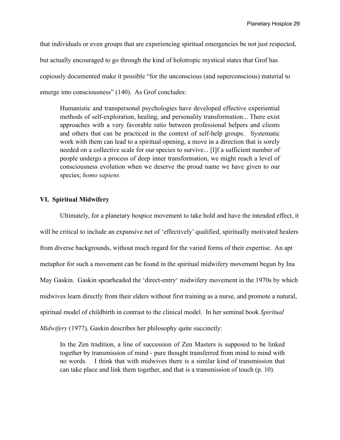that individuals or even groups that are experiencing spiritual emergencies be not just respected, but actually encouraged to go through the kind of holotropic mystical states that Grof has copiously documented make it possible "for the unconscious (and superconscious) material to emerge into consciousness" (140). As Grof concludes:

Humanistic and transpersonal psychologies have developed effective experiential methods of self-exploration, healing, and personality transformation... There exist approaches with a very favorable ratio between professional helpers and clients and others that can be practiced in the context of self-help groups. Systematic work with them can lead to a spiritual opening, a move in a direction that is sorely needed on a collective scale for our species to survive... [I]f a sufficient number of people undergo a process of deep inner transformation, we might reach a level of consciousness evolution when we deserve the proud name we have given to our species; *homo sapiens.*

#### **VI. Spiritual Midwifery**

Ultimately, for a planetary hospice movement to take hold and have the intended effect, it will be critical to include an expansive net of 'effectively' qualified, spiritually motivated healers from diverse backgrounds, without much regard for the varied forms of their expertise. An apt metaphor for such a movement can be found in the spiritual midwifery movement begun by Ina May Gaskin. Gaskin spearheaded the 'direct-entry' midwifery movement in the 1970s by which midwives learn directly from their elders without first training as a nurse, and promote a natural, spiritual model of childbirth in contrast to the clinical model. In her seminal book *Spiritual Midwifery* (1977)*,* Gaskin describes her philosophy quite succinctly:

In the Zen tradition, a line of succession of Zen Masters is supposed to be linked together by transmission of mind - pure thought transferred from mind to mind with no words. I think that with midwives there is a similar kind of transmission that can take place and link them together, and that is a transmission of touch (p. 10).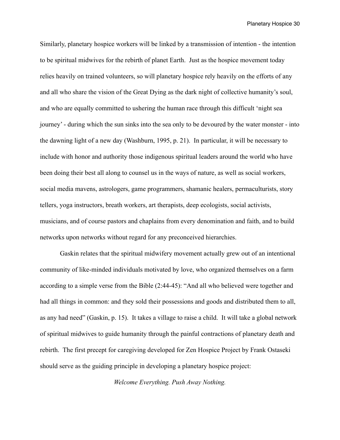Similarly, planetary hospice workers will be linked by a transmission of intention - the intention to be spiritual midwives for the rebirth of planet Earth. Just as the hospice movement today relies heavily on trained volunteers, so will planetary hospice rely heavily on the efforts of any and all who share the vision of the Great Dying as the dark night of collective humanity's soul, and who are equally committed to ushering the human race through this difficult 'night sea journey' - during which the sun sinks into the sea only to be devoured by the water monster - into the dawning light of a new day (Washburn, 1995, p. 21). In particular, it will be necessary to include with honor and authority those indigenous spiritual leaders around the world who have been doing their best all along to counsel us in the ways of nature, as well as social workers, social media mavens, astrologers, game programmers, shamanic healers, permaculturists, story tellers, yoga instructors, breath workers, art therapists, deep ecologists, social activists, musicians, and of course pastors and chaplains from every denomination and faith, and to build networks upon networks without regard for any preconceived hierarchies.

 Gaskin relates that the spiritual midwifery movement actually grew out of an intentional community of like-minded individuals motivated by love, who organized themselves on a farm according to a simple verse from the Bible (2:44-45): "And all who believed were together and had all things in common: and they sold their possessions and goods and distributed them to all, as any had need" (Gaskin, p. 15). It takes a village to raise a child. It will take a global network of spiritual midwives to guide humanity through the painful contractions of planetary death and rebirth. The first precept for caregiving developed for Zen Hospice Project by Frank Ostaseki should serve as the guiding principle in developing a planetary hospice project:

*Welcome Everything. Push Away Nothing.*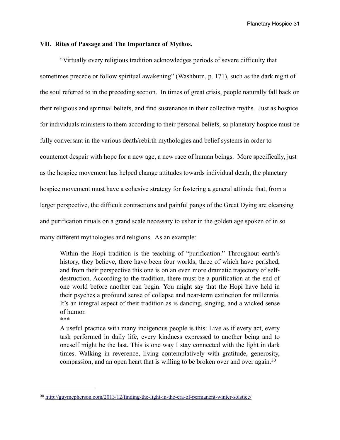#### **VII. Rites of Passage and The Importance of Mythos.**

"Virtually every religious tradition acknowledges periods of severe difficulty that sometimes precede or follow spiritual awakening" (Washburn, p. 171), such as the dark night of the soul referred to in the preceding section. In times of great crisis, people naturally fall back on their religious and spiritual beliefs, and find sustenance in their collective myths. Just as hospice for individuals ministers to them according to their personal beliefs, so planetary hospice must be fully conversant in the various death/rebirth mythologies and belief systems in order to counteract despair with hope for a new age, a new race of human beings. More specifically, just as the hospice movement has helped change attitudes towards individual death, the planetary hospice movement must have a cohesive strategy for fostering a general attitude that, from a larger perspective, the difficult contractions and painful pangs of the Great Dying are cleansing and purification rituals on a grand scale necessary to usher in the golden age spoken of in so many different mythologies and religions. As an example:

Within the Hopi tradition is the teaching of "purification." Throughout earth's history, they believe, there have been four worlds, three of which have perished, and from their perspective this one is on an even more dramatic trajectory of selfdestruction. According to the tradition, there must be a purification at the end of one world before another can begin. You might say that the Hopi have held in their psyches a profound sense of collapse and near-term extinction for millennia. It's an integral aspect of their tradition as is dancing, singing, and a wicked sense of humor.

\*\*\*

A useful practice with many indigenous people is this: Live as if every act, every task performed in daily life, every kindness expressed to another being and to oneself might be the last. This is one way I stay connected with the light in dark times. Walking in reverence, living contemplatively with gratitude, generosity, compassion, and an open heart that is willing to be broken over and over again.<sup>[30](#page-30-0)</sup>

<span id="page-30-0"></span><sup>30</sup> <http://guymcpherson.com/2013/12/finding-the-light-in-the-era-of-permanent-winter-solstice/>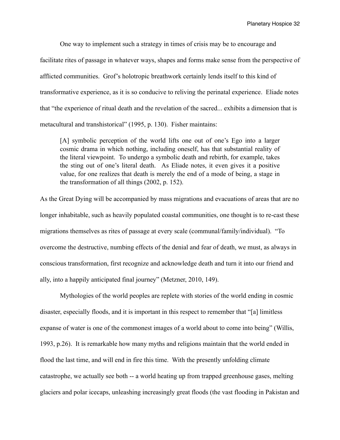One way to implement such a strategy in times of crisis may be to encourage and facilitate rites of passage in whatever ways, shapes and forms make sense from the perspective of afflicted communities. Grof's holotropic breathwork certainly lends itself to this kind of transformative experience, as it is so conducive to reliving the perinatal experience. Eliade notes that "the experience of ritual death and the revelation of the sacred... exhibits a dimension that is metacultural and transhistorical" (1995, p. 130). Fisher maintains:

[A] symbolic perception of the world lifts one out of one's Ego into a larger cosmic drama in which nothing, including oneself, has that substantial reality of the literal viewpoint. To undergo a symbolic death and rebirth, for example, takes the sting out of one's literal death. As Eliade notes, it even gives it a positive value, for one realizes that death is merely the end of a mode of being, a stage in the transformation of all things (2002, p. 152).

As the Great Dying will be accompanied by mass migrations and evacuations of areas that are no longer inhabitable, such as heavily populated coastal communities, one thought is to re-cast these migrations themselves as rites of passage at every scale (communal/family/individual). "To overcome the destructive, numbing effects of the denial and fear of death, we must, as always in conscious transformation, first recognize and acknowledge death and turn it into our friend and ally, into a happily anticipated final journey" (Metzner, 2010, 149).

 Mythologies of the world peoples are replete with stories of the world ending in cosmic disaster, especially floods, and it is important in this respect to remember that "[a] limitless expanse of water is one of the commonest images of a world about to come into being" (Willis, 1993, p.26). It is remarkable how many myths and religions maintain that the world ended in flood the last time, and will end in fire this time. With the presently unfolding climate catastrophe, we actually see both -- a world heating up from trapped greenhouse gases, melting glaciers and polar icecaps, unleashing increasingly great floods (the vast flooding in Pakistan and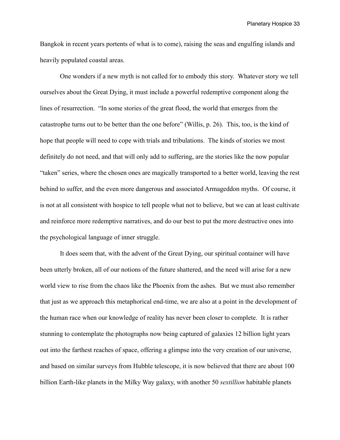Bangkok in recent years portents of what is to come), raising the seas and engulfing islands and heavily populated coastal areas.

 One wonders if a new myth is not called for to embody this story. Whatever story we tell ourselves about the Great Dying, it must include a powerful redemptive component along the lines of resurrection. "In some stories of the great flood, the world that emerges from the catastrophe turns out to be better than the one before" (Willis, p. 26). This, too, is the kind of hope that people will need to cope with trials and tribulations. The kinds of stories we most definitely do not need, and that will only add to suffering, are the stories like the now popular "taken" series, where the chosen ones are magically transported to a better world, leaving the rest behind to suffer, and the even more dangerous and associated Armageddon myths. Of course, it is not at all consistent with hospice to tell people what not to believe, but we can at least cultivate and reinforce more redemptive narratives, and do our best to put the more destructive ones into the psychological language of inner struggle.

 It does seem that, with the advent of the Great Dying, our spiritual container will have been utterly broken, all of our notions of the future shattered, and the need will arise for a new world view to rise from the chaos like the Phoenix from the ashes. But we must also remember that just as we approach this metaphorical end-time, we are also at a point in the development of the human race when our knowledge of reality has never been closer to complete. It is rather stunning to contemplate the photographs now being captured of galaxies 12 billion light years out into the farthest reaches of space, offering a glimpse into the very creation of our universe, and based on similar surveys from Hubble telescope, it is now believed that there are about 100 billion Earth-like planets in the Milky Way galaxy, with another 50 *sextillion* habitable planets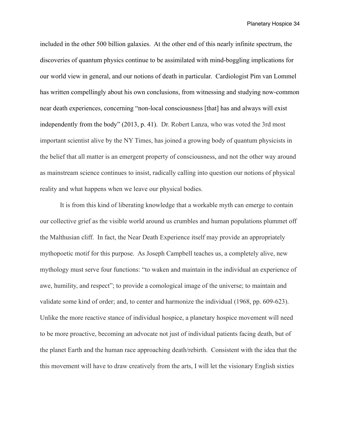included in the other 500 billion galaxies. At the other end of this nearly infinite spectrum, the discoveries of quantum physics continue to be assimilated with mind-boggling implications for our world view in general, and our notions of death in particular. Cardiologist Pim van Lommel has written compellingly about his own conclusions, from witnessing and studying now-common near death experiences, concerning "non-local consciousness [that] has and always will exist independently from the body" (2013, p. 41). Dr. Robert Lanza, who was voted the 3rd most important scientist alive by the NY Times, has joined a growing body of quantum physicists in the belief that all matter is an emergent property of consciousness, and not the other way around as mainstream science continues to insist, radically calling into question our notions of physical reality and what happens when we leave our physical bodies.

 It is from this kind of liberating knowledge that a workable myth can emerge to contain our collective grief as the visible world around us crumbles and human populations plummet off the Malthusian cliff. In fact, the Near Death Experience itself may provide an appropriately mythopoetic motif for this purpose. As Joseph Campbell teaches us, a completely alive, new mythology must serve four functions: "to waken and maintain in the individual an experience of awe, humility, and respect"; to provide a comological image of the universe; to maintain and validate some kind of order; and, to center and harmonize the individual (1968, pp. 609-623). Unlike the more reactive stance of individual hospice, a planetary hospice movement will need to be more proactive, becoming an advocate not just of individual patients facing death, but of the planet Earth and the human race approaching death/rebirth. Consistent with the idea that the this movement will have to draw creatively from the arts, I will let the visionary English sixties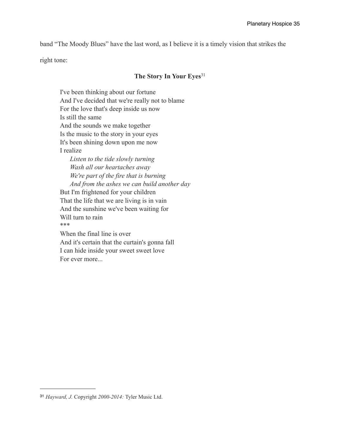band "The Moody Blues" have the last word, as I believe it is a timely vision that strikes the

right tone:

#### **The Story In Your Eyes**[31](#page-34-0)

I've been thinking about our fortune And I've decided that we're really not to blame For the love that's deep inside us now Is still the same And the sounds we make together Is the music to the story in your eyes It's been shining down upon me now I realize *Listen to the tide slowly turning Wash all our heartaches away We're part of the fire that is burning And from the ashes we can build another day* But I'm frightened for your children That the life that we are living is in vain And the sunshine we've been waiting for Will turn to rain \*\*\* When the final line is over And it's certain that the curtain's gonna fall I can hide inside your sweet sweet love

For ever more...

<span id="page-34-0"></span><sup>31</sup> *Hayward, J.* Copyright *2000-2014:* Tyler Music Ltd.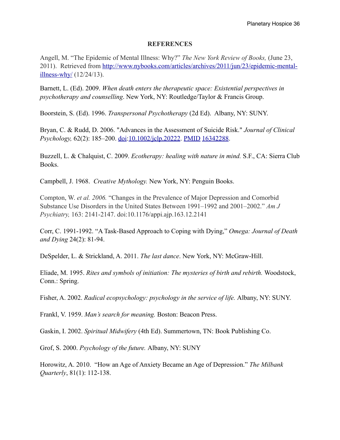#### **REFERENCES**

Angell, M. "The Epidemic of Mental Illness: Why?" *The New York Review of Books,* (June 23, 2011). Retrieved from [http://www.nybooks.com/articles/archives/2011/jun/23/epidemic-mental](http://www.nybooks.com/articles/archives/2011/jun/23/epidemic-mental-illness-why/)[illness-why/](http://www.nybooks.com/articles/archives/2011/jun/23/epidemic-mental-illness-why/) (12/24/13).

Barnett, L. (Ed). 2009. *When death enters the therapeutic space: Existential perspectives in psychotherapy and counselling*. New York, NY: Routledge/Taylor & Francis Group.

Boorstein, S. (Ed). 1996. *Transpersonal Psychotherapy* (2d Ed). Albany, NY: SUNY.

Bryan, C. & Rudd, D. 2006. "Advances in the Assessment of Suicide Risk." *Journal of Clinical Psychology,* 62(2): 185–200. [doi](http://en.wikipedia.org/wiki/Digital_object_identifier):[10.1002/jclp.20222.](http://dx.doi.org/10.1002%2Fjclp.20222) [PMID](http://en.wikipedia.org/wiki/PubMed_Identifier) [16342288.](http://www.ncbi.nlm.nih.gov/pubmed/16342288)

Buzzell, L. & Chalquist, C. 2009. *Ecotherapy: healing with nature in mind.* S.F., CA: Sierra Club Books.

Campbell, J. 1968. *Creative Mythology.* New York, NY: Penguin Books.

Compton, W. *et al. 2006.* "Changes in the Prevalence of Major Depression and Comorbid Substance Use Disorders in the United States Between 1991–1992 and 2001–2002." *Am J Psychiatry,* 163: 2141-2147. doi:10.1176/appi.ajp.163.12.2141

Corr, C. 1991-1992. "A Task-Based Approach to Coping with Dying," *Omega: Journal of Death and Dying* 24(2): 81-94.

DeSpelder, L. & Strickland, A. 2011. *The last dance*. New York, NY: McGraw-Hill.

Eliade, M. 1995. *Rites and symbols of initiation: The mysteries of birth and rebirth.* Woodstock, Conn.: Spring.

Fisher, A. 2002. *Radical ecopsychology: psychology in the service of life.* Albany, NY: SUNY.

Frankl, V. 1959. *Man's search for meaning.* Boston: Beacon Press.

Gaskin, I. 2002. *Spiritual Midwifery* (4th Ed). Summertown, TN: Book Publishing Co.

Grof, S. 2000. *Psychology of the future.* Albany, NY: SUNY

Horowitz, A. 2010. "How an Age of Anxiety Became an Age of Depression." *The Milbank Quarterly*, 81(1): 112-138.